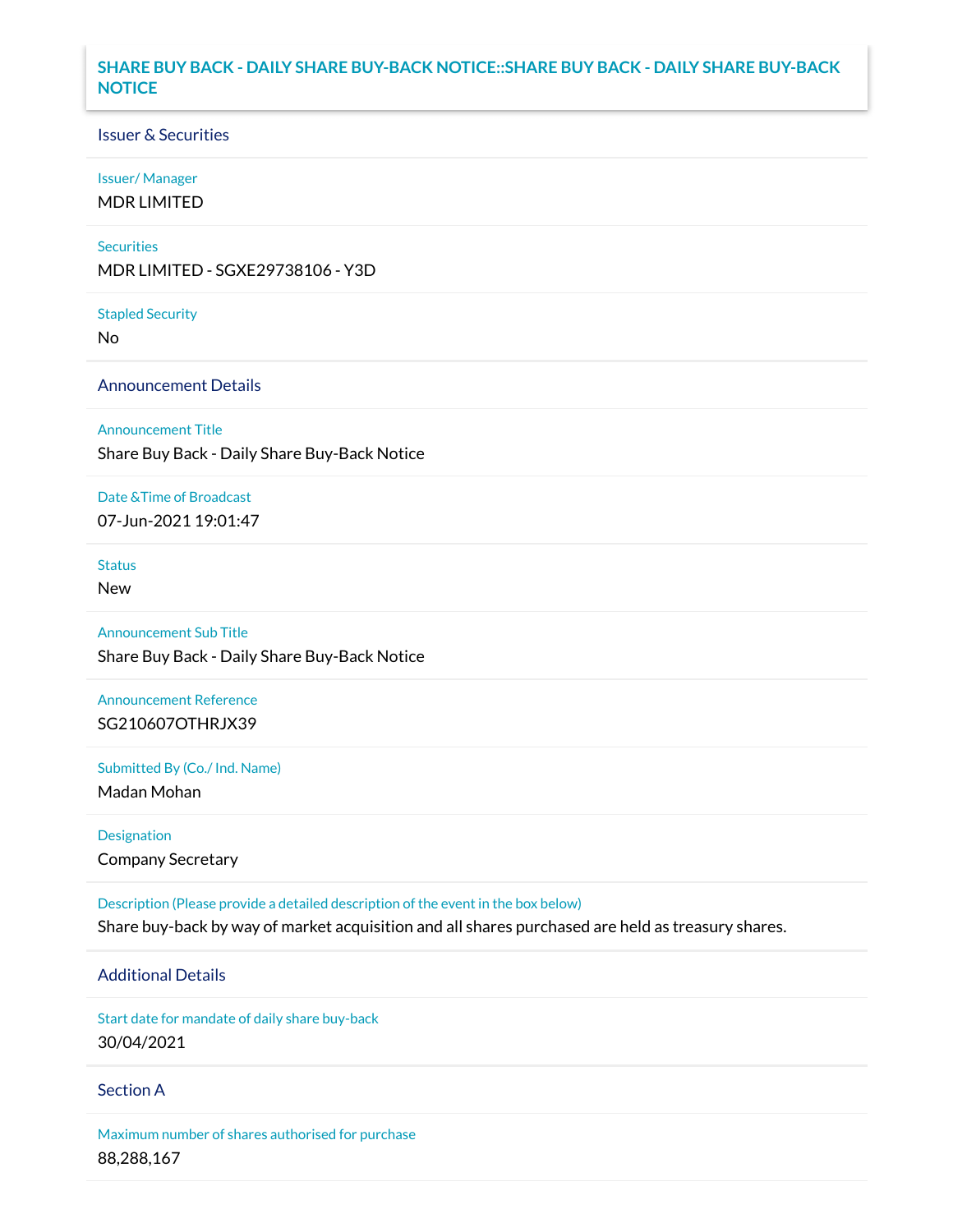### **SHARE BUY BACK - DAILY SHARE BUY-BACK NOTICE::SHARE BUY BACK - DAILY SHARE BUY-BACK NOTICE**

### Issuer & Securities

#### Issuer/ Manager

MDR LIMITED

#### **Securities**

MDR LIMITED - SGXE29738106 - Y3D

#### Stapled Security

No

### Announcement Details

Announcement Title

Share Buy Back - Daily Share Buy-Back Notice

# Date &Time of Broadcast

07-Jun-2021 19:01:47

## Status

New

### Announcement Sub Title Share Buy Back - Daily Share Buy-Back Notice

Announcement Reference SG210607OTHRJX39

Submitted By (Co./ Ind. Name)

Madan Mohan

Designation Company Secretary

Description (Please provide a detailed description of the event in the box below) Share buy-back by way of market acquisition and all shares purchased are held as treasury shares.

### Additional Details

Start date for mandate of daily share buy-back 30/04/2021

### Section A

Maximum number of shares authorised for purchase 88,288,167